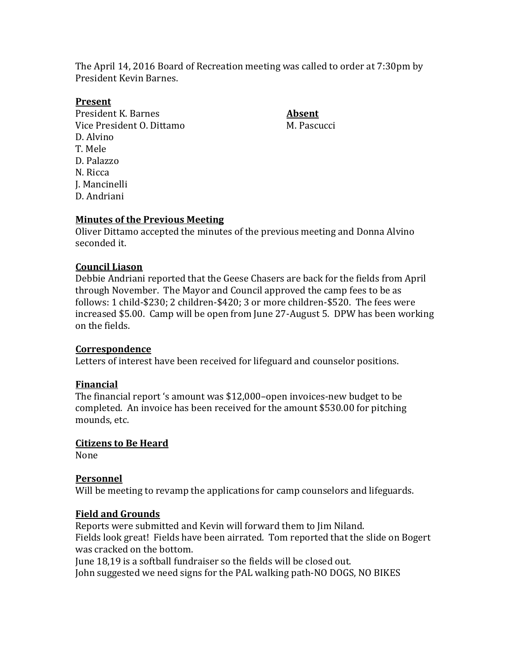The April 14, 2016 Board of Recreation meeting was called to order at 7:30pm by President Kevin Barnes.

### **Present**

President K. Barnes **Absent** Vice President O. Dittamo M. Pascucci D. Alvino T. Mele D. Palazzo N. Ricca J. Mancinelli D. Andriani

### **Minutes of the Previous Meeting**

Oliver Dittamo accepted the minutes of the previous meeting and Donna Alvino seconded it.

### **Council Liason**

Debbie Andriani reported that the Geese Chasers are back for the fields from April through November. The Mayor and Council approved the camp fees to be as follows: 1 child-\$230; 2 children-\$420; 3 or more children-\$520. The fees were increased \$5.00. Camp will be open from June 27-August 5. DPW has been working on the fields.

### **Correspondence**

Letters of interest have been received for lifeguard and counselor positions.

### **Financial**

The financial report 's amount was \$12,000–open invoices-new budget to be completed. An invoice has been received for the amount \$530.00 for pitching mounds, etc.

### **Citizens to Be Heard**

None

### **Personnel**

Will be meeting to revamp the applications for camp counselors and lifeguards.

### **Field and Grounds**

Reports were submitted and Kevin will forward them to Jim Niland. Fields look great! Fields have been airrated. Tom reported that the slide on Bogert was cracked on the bottom.

June 18,19 is a softball fundraiser so the fields will be closed out. John suggested we need signs for the PAL walking path-NO DOGS, NO BIKES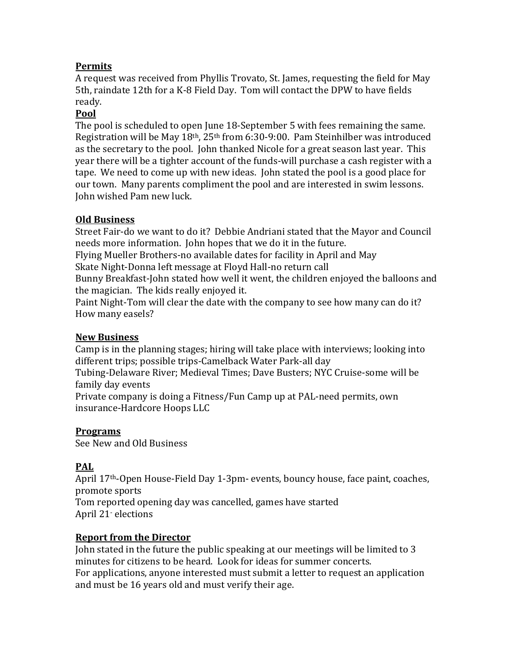# **Permits**

A request was received from Phyllis Trovato, St. James, requesting the field for May 5th, raindate 12th for a K-8 Field Day. Tom will contact the DPW to have fields ready.

## **Pool**

The pool is scheduled to open June 18-September 5 with fees remaining the same. Registration will be May 18th, 25th from 6:30-9:00. Pam Steinhilber was introduced as the secretary to the pool. John thanked Nicole for a great season last year. This year there will be a tighter account of the funds-will purchase a cash register with a tape. We need to come up with new ideas. John stated the pool is a good place for our town. Many parents compliment the pool and are interested in swim lessons. John wished Pam new luck.

# **Old Business**

Street Fair-do we want to do it? Debbie Andriani stated that the Mayor and Council needs more information. John hopes that we do it in the future.

Flying Mueller Brothers-no available dates for facility in April and May

Skate Night-Donna left message at Floyd Hall-no return call

Bunny Breakfast-John stated how well it went, the children enjoyed the balloons and the magician. The kids really enjoyed it.

Paint Night-Tom will clear the date with the company to see how many can do it? How many easels?

## **New Business**

Camp is in the planning stages; hiring will take place with interviews; looking into different trips; possible trips-Camelback Water Park-all day

Tubing-Delaware River; Medieval Times; Dave Busters; NYC Cruise-some will be family day events

Private company is doing a Fitness/Fun Camp up at PAL-need permits, own insurance-Hardcore Hoops LLC

## **Programs**

See New and Old Business

# **PAL**

April 17th-Open House-Field Day 1-3pm- events, bouncy house, face paint, coaches, promote sports Tom reported opening day was cancelled, games have started April 21- elections

## **Report from the Director**

John stated in the future the public speaking at our meetings will be limited to 3 minutes for citizens to be heard. Look for ideas for summer concerts. For applications, anyone interested must submit a letter to request an application and must be 16 years old and must verify their age.